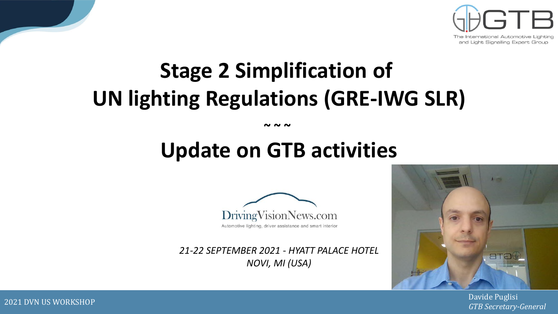

# **Stage 2 Simplification of UN lighting Regulations (GRE-IWG SLR)**

**~ ~ ~** 

# **Update on GTB activities**



*21-22 SEPTEMBER 2021 - HYATT PALACE HOTEL NOVI, MI (USA)*



Davide Puglisi *GTB Secretary-General*

2021 DVN US WORKSHOP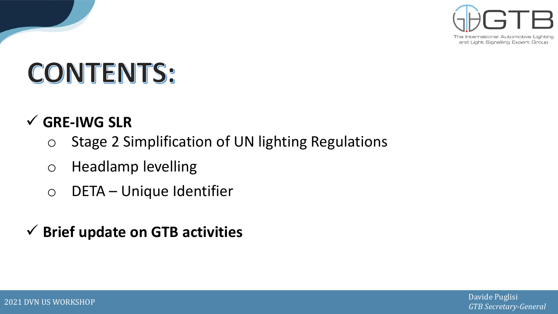

and Light Signalling Expert Group

# **CONTENTS:**

## ✓ **GRE-IWG SLR**

- o Stage 2 Simplification of UN lighting Regulations
- o Headlamp levelling
- o DETA Unique Identifier
- ✓ **Brief update on GTB activities**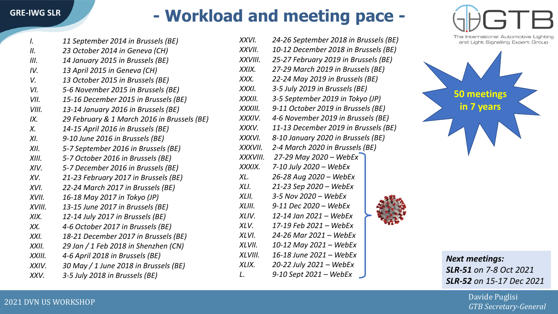## **- Workload and meeting pace -**

| $\mathcal{L}$ | 11 September 2014 in Brussels (BE)          |
|---------------|---------------------------------------------|
| II.           | 23 October 2014 in Geneva (CH)              |
| III.          | 14 January 2015 in Brussels (BE)            |
| IV.           | 13 April 2015 in Geneva (CH)                |
| V.            | 13 October 2015 in Brussels (BE)            |
| VI.           | 5-6 November 2015 in Brussels (BE)          |
| VII.          | 15-16 December 2015 in Brussels (BE)        |
| VIII.         | 13-14 January 2016 in Brussels (BE)         |
| IX.           | 29 February & 1 March 2016 in Brussels (BE) |
| $X_{\cdot}$   | 14-15 April 2016 in Brussels (BE)           |
| XI.           | 9-10 June 2016 in Brussels (BE)             |
| XII.          | 5-7 September 2016 in Brussels (BE)         |
| XIII.         | 5-7 October 2016 in Brussels (BE)           |
| XIV.          | 5-7 December 2016 in Brussels (BE)          |
| XV.           | 21-23 February 2017 in Brussels (BE)        |
| XVI.          | 22-24 March 2017 in Brussels (BE)           |
| XVII.         | 16-18 May 2017 in Tokyo (JP)                |
| XVIII.        | 13-15 June 2017 in Brussels (BE)            |
| XIX.          | 12-14 July 2017 in Brussels (BE)            |
| XX.           | 4-6 October 2017 in Brussels (BE)           |
| XXI.          | 18-21 December 2017 in Brussels (BE)        |
| XXII.         | 29 Jan / 1 Feb 2018 in Shenzhen (CN)        |
| XXIII.        | 4-6 April 2018 in Brussels (BE)             |
| XXIV.         | 30 May / 1 June 2018 in Brussels (BE)       |
| XXV.          | 3-5 July 2018 in Brussels (BE)              |
|               |                                             |

| XXVI.    | 24-26 September 2018 in Brussels (BE) |  |  |  |  |
|----------|---------------------------------------|--|--|--|--|
| XXVII.   | 10-12 December 2018 in Brussels (BE)  |  |  |  |  |
| XXVIII.  | 25-27 February 2019 in Brussels (BE)  |  |  |  |  |
| XXIX.    | 27-29 March 2019 in Brussels (BE)     |  |  |  |  |
| XXX.     | 22-24 May 2019 in Brussels (BE)       |  |  |  |  |
| XXXI.    | 3-5 July 2019 in Brussels (BE)        |  |  |  |  |
| XXXII.   | 3-5 September 2019 in Tokyo (JP)      |  |  |  |  |
| XXXIII.  | 9-11 October 2019 in Brussels (BE)    |  |  |  |  |
| XXXIV.   | 4-6 November 2019 in Brussels (BE)    |  |  |  |  |
| XXXV.    | 11-13 December 2019 in Brussels (BE)  |  |  |  |  |
| XXXVI.   | 8-10 January 2020 in Brussels (BE)    |  |  |  |  |
| XXXVII.  | 2-4 March 2020 in Brussels (BE)       |  |  |  |  |
| XXXVIII. | 27-29 May 2020 - WebEx                |  |  |  |  |
| XXXIX.   | 7-10 July 2020 - WebEx                |  |  |  |  |
| XL.      | 26-28 Aug 2020 - WebEx                |  |  |  |  |
| XLL      | 21-23 Sep 2020 - WebEx                |  |  |  |  |
| XLII.    | 3-5 Nov 2020 - WebEx                  |  |  |  |  |
| XLIII.   | 9-11 Dec 2020 - WebEx                 |  |  |  |  |
| XLIV.    | 12-14 Jan 2021 – WebEx                |  |  |  |  |
| XLV.     | 17-19 Feb 2021 - WebEx                |  |  |  |  |
| XLVI.    | 24-26 Mar 2021 – WebEx                |  |  |  |  |
| XLVII.   | 10-12 May 2021 - WebEx                |  |  |  |  |
| XLVIII.  | 16-18 June 2021 - WebEx               |  |  |  |  |
| XLIX.    | 20-22 July 2021 - WebEx               |  |  |  |  |
| L.       | 9-10 Sept 2021 - WebEx                |  |  |  |  |
|          |                                       |  |  |  |  |





*Next meetings: SLR-51 on 7-8 Oct 2021 SLR-52 on 15-17 Dec 2021*

> Davide Puglisi *GTB Secretary-General*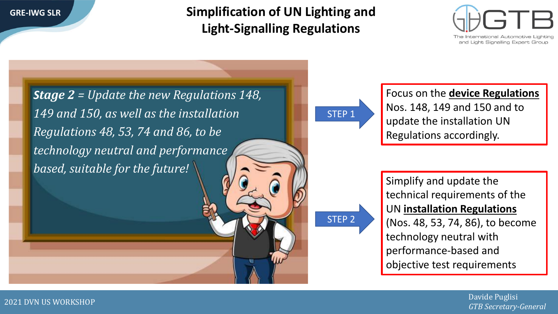**Simplification of UN Lighting and Light-Signalling Regulations**



*Stage 2 = Update the new Regulations 148, 149 and 150, as well as the installation Regulations 48, 53, 74 and 86, to be technology neutral and performance based, suitable for the future!*

STEP 2

STEP 1

Focus on the **device Regulations**  Nos. 148, 149 and 150 and to update the installation UN Regulations accordingly.

Simplify and update the technical requirements of the UN **installation Regulations**  (Nos. 48, 53, 74, 86), to become technology neutral with performance-based and objective test requirements

> Davide Puglisi *GTB Secretary-General*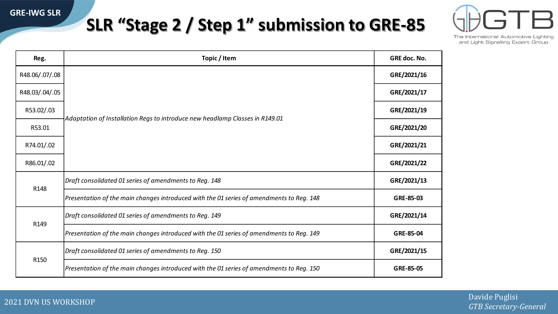## **SLR "Stage 2 / Step 1" submission to GRE-85**



The International Automotive Lighting and Light Signalling Expert Group

| Reg.                 | Topic / Item                                                                             | GRE doc. No. |
|----------------------|------------------------------------------------------------------------------------------|--------------|
| R48.06/.07/.08       |                                                                                          | GRE/2021/16  |
| R48.03/.04/.05       |                                                                                          | GRE/2021/17  |
| R53.02/.03<br>R53.01 |                                                                                          | GRE/2021/19  |
|                      | Adaptation of Installation Regs to introduce new headlamp Classes in R149.01             | GRE/2021/20  |
| R74.01/.02           |                                                                                          | GRE/2021/21  |
| R86.01/.02           |                                                                                          | GRE/2021/22  |
| R148                 | Draft consolidated 01 series of amendments to Reg. 148                                   | GRE/2021/13  |
|                      | Presentation of the main changes introduced with the 01 series of amendments to Reg. 148 | GRE-85-03    |
| R149                 | Draft consolidated 01 series of amendments to Reg. 149                                   | GRE/2021/14  |
|                      | Presentation of the main changes introduced with the 01 series of amendments to Reg. 149 | GRE-85-04    |
|                      | Draft consolidated 01 series of amendments to Reg. 150                                   | GRE/2021/15  |
| R150                 | Presentation of the main changes introduced with the 01 series of amendments to Reg. 150 | GRE-85-05    |

Davide Puglisi *GTB Secretary-General*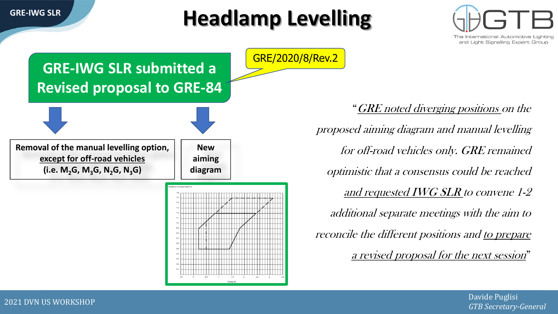

# **Headlamp Levelling**





*GTB Secretary-General*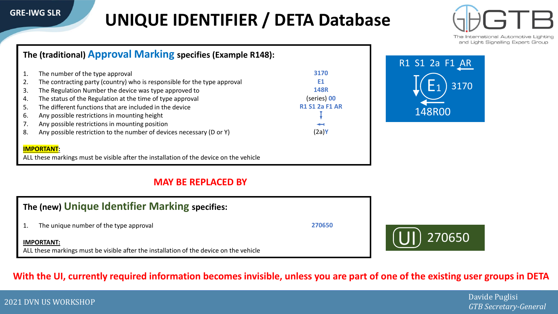## **UNIQUE IDENTIFIER / DETA Database**



and Light Signalling Expert Group

### **The (traditional) Approval Marking specifies (Example R148):**

|    | The number of the type approval                                          | 3170                  |
|----|--------------------------------------------------------------------------|-----------------------|
| 2. | The contracting party (country) who is responsible for the type approval | Е1                    |
| 3. | The Regulation Number the device was type approved to                    | <b>148R</b>           |
| 4. | The status of the Regulation at the time of type approval                | (series) 00           |
| 5. | The different functions that are included in the device                  | <b>R1 S1 2a F1 AR</b> |
| 6. | Any possible restrictions in mounting height                             |                       |
| 7. | Any possible restrictions in mounting position                           | ↤                     |
| 8. | Any possible restriction to the number of devices necessary (D or Y)     | (2a) <b>Y</b>         |
|    |                                                                          |                       |
|    | <b>IMPORTANT:</b>                                                        |                       |



270650

ALL these markings must be visible after the installation of the device on the vehicle

### **MAY BE REPLACED BY**

| The (new) Unique Identifier Marking specifies:                                                              |        |  |  |  |
|-------------------------------------------------------------------------------------------------------------|--------|--|--|--|
| The unique number of the type approval                                                                      | 270650 |  |  |  |
| <b>IMPORTANT:</b><br>ALL these markings must be visible after the installation of the device on the vehicle |        |  |  |  |

### With the UI, currently required information becomes invisible, unless you are part of one of the existing user groups in DETA

*GTB Secretary-General*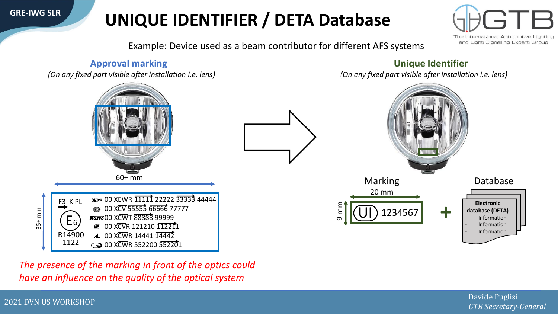## **UNIQUE IDENTIFIER / DETA Database**

The International Automotive and Light Signalling Expert Group

Example: Device used as a beam contributor for different AFS systems



*The presence of the marking in front of the optics could have an influence on the quality of the optical system*

2021 DVN US WORKSHOP Davide Puglisi *GTB Secretary-General*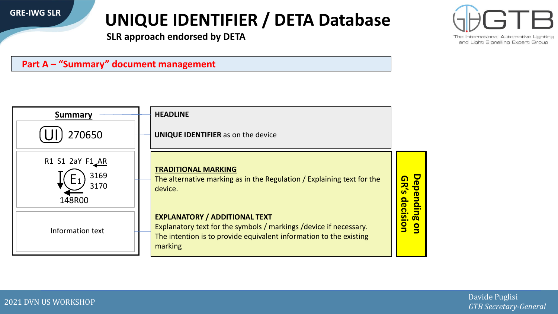## **UNIQUE IDENTIFIER / DETA Database**

The International Automotive

and Light Signalling Expert Group

**SLR approach endorsed by DETA**





2021 DVN US WORKSHOP Davide Puglisi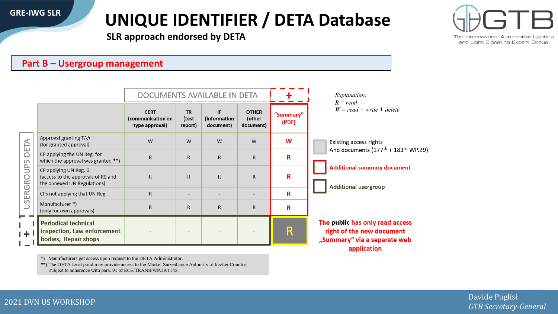## **UNIQUE IDENTIFIER / DETA Database**



The International Automotive Lighting and Light Signalling Expert Group

**SLR approach endorsed by DETA**

### **Part B – Usergroup management**

|                        |                                                                                            | DOCUMENTS AVAILABLE IN DETA                        |                               |                                 |                                     |                    | Explanation:<br>$R = read$                                                                                                                               |  |
|------------------------|--------------------------------------------------------------------------------------------|----------------------------------------------------|-------------------------------|---------------------------------|-------------------------------------|--------------------|----------------------------------------------------------------------------------------------------------------------------------------------------------|--|
|                        |                                                                                            | <b>CERT</b><br>(communication on<br>type approval) | <b>TR</b><br>(test<br>report) | IF<br>(information<br>document) | <b>OTHER</b><br>(other<br>document) | "Summary"<br>(PDF) | $W = read + write + delete$                                                                                                                              |  |
| DETA<br>SQ<br>USERGROU | Approval granting TAA<br>(for granted approval)                                            | W                                                  | W                             | W                               | W                                   | W                  | Existing access rights<br>And documents $(177^{\text{th}} + 183^{\text{rd}}$ WP.29)<br><b>Additional summary document</b><br><b>Additional usergroup</b> |  |
|                        | CP applying the UN Reg. for<br>which the approval was granted **)                          | R                                                  | R                             | $\mathsf{R}$                    | $\mathsf{R}$                        | R                  |                                                                                                                                                          |  |
|                        | CP applying UN Reg. 0<br>(access to the approvals of R0 and<br>the annexed UN Regulations) | $\mathsf{R}$                                       | R                             | $\mathsf{R}$                    | $\mathsf{R}$                        | R                  |                                                                                                                                                          |  |
|                        | CPs not applying that UN Reg.                                                              | R                                                  | $\overline{\phantom{a}}$      |                                 |                                     | R                  |                                                                                                                                                          |  |
|                        | Manufacturer *)<br>(only for own approvals)                                                | R                                                  | R.                            | $\mathsf{R}$                    | $\mathsf{R}$                        | R                  |                                                                                                                                                          |  |
|                        | <b>Periodical technical</b><br>inspection, Law enforcement<br>bodies, Repair shops         |                                                    |                               |                                 |                                     | $\mathsf{R}$       | The public has only read access<br>right of the new document<br>"Summary" via a separate web<br>application                                              |  |

\*) Manufacturers get access upon request to the DETA Administrator.

\*\*) The DETA focal point may provide access to the Market Surveillance Authority of his/her Country, subject to adherence with para. 91 of ECE/TRANS/WP.29/1145.

*GTB Secretary-General*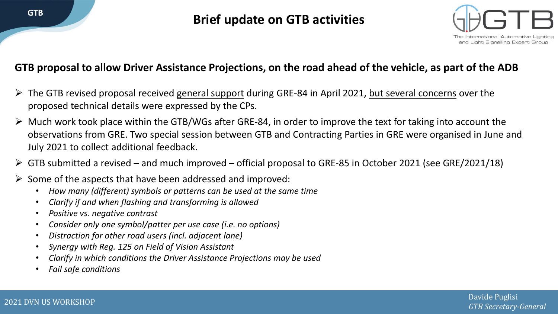**Brief update on GTB activities**



## **GTB proposal to allow Driver Assistance Projections, on the road ahead of the vehicle, as part of the ADB**

- The GTB revised proposal received general support during GRE-84 in April 2021, but several concerns over the proposed technical details were expressed by the CPs.
- $\triangleright$  Much work took place within the GTB/WGs after GRE-84, in order to improve the text for taking into account the observations from GRE. Two special session between GTB and Contracting Parties in GRE were organised in June and July 2021 to collect additional feedback.
- $\triangleright$  GTB submitted a revised and much improved official proposal to GRE-85 in October 2021 (see GRE/2021/18)
- $\triangleright$  Some of the aspects that have been addressed and improved:
	- *How many (different) symbols or patterns can be used at the same time*
	- *Clarify if and when flashing and transforming is allowed*
	- *Positive vs. negative contrast*
	- *Consider only one symbol/patter per use case (i.e. no options)*
	- *Distraction for other road users (incl. adjacent lane)*
	- *Synergy with Reg. 125 on Field of Vision Assistant*
	- *Clarify in which conditions the Driver Assistance Projections may be used*
	- *Fail safe conditions*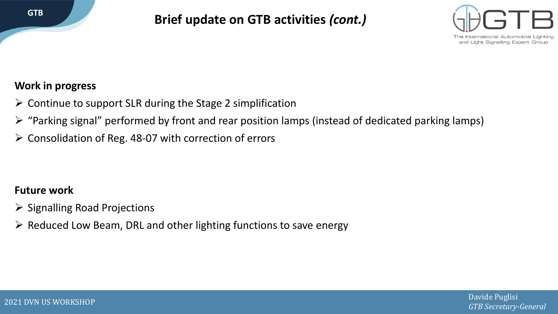

**Brief update on GTB activities** *(cont.)*



### **Work in progress**

- $\triangleright$  Continue to support SLR during the Stage 2 simplification
- ➢ "Parking signal" performed by front and rear position lamps (instead of dedicated parking lamps)
- ➢ Consolidation of Reg. 48-07 with correction of errors

## **Future work**

- ➢ Signalling Road Projections
- ➢ Reduced Low Beam, DRL and other lighting functions to save energy